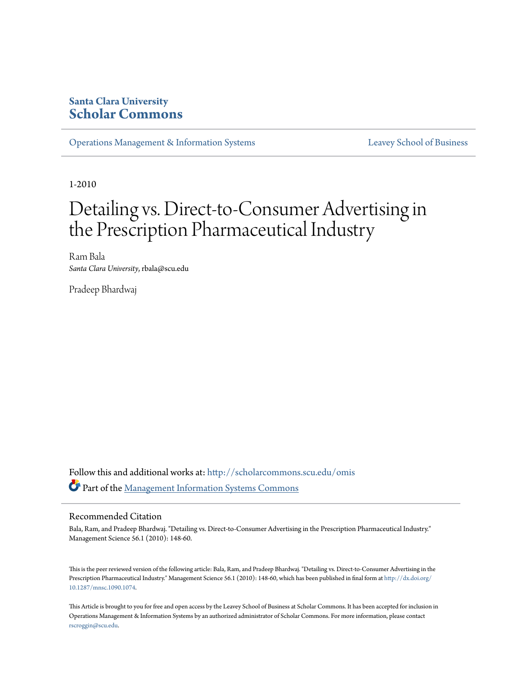#### **Santa Clara University [Scholar Commons](http://scholarcommons.scu.edu?utm_source=scholarcommons.scu.edu%2Fomis%2F2&utm_medium=PDF&utm_campaign=PDFCoverPages)**

[Operations Management & Information Systems](http://scholarcommons.scu.edu/omis?utm_source=scholarcommons.scu.edu%2Fomis%2F2&utm_medium=PDF&utm_campaign=PDFCoverPages) [Leavey School of Business](http://scholarcommons.scu.edu/business?utm_source=scholarcommons.scu.edu%2Fomis%2F2&utm_medium=PDF&utm_campaign=PDFCoverPages)

1-2010

# Detailing vs. Direct-to-Consumer Advertising in the Prescription Pharmaceutical Industry

Ram Bala *Santa Clara University*, rbala@scu.edu

Pradeep Bhardwaj

Follow this and additional works at: [http://scholarcommons.scu.edu/omis](http://scholarcommons.scu.edu/omis?utm_source=scholarcommons.scu.edu%2Fomis%2F2&utm_medium=PDF&utm_campaign=PDFCoverPages) Part of the [Management Information Systems Commons](http://network.bepress.com/hgg/discipline/636?utm_source=scholarcommons.scu.edu%2Fomis%2F2&utm_medium=PDF&utm_campaign=PDFCoverPages)

#### Recommended Citation

Bala, Ram, and Pradeep Bhardwaj. "Detailing vs. Direct-to-Consumer Advertising in the Prescription Pharmaceutical Industry." Management Science 56.1 (2010): 148-60.

This is the peer reviewed version of the following article: Bala, Ram, and Pradeep Bhardwaj. "Detailing vs. Direct-to-Consumer Advertising in the Prescription Pharmaceutical Industry." Management Science 56.1 (2010): 148-60, which has been published in final form at [http://dx.doi.org/](http://dx.doi.org/10.1287/mnsc.1090.1074) [10.1287/mnsc.1090.1074.](http://dx.doi.org/10.1287/mnsc.1090.1074)

This Article is brought to you for free and open access by the Leavey School of Business at Scholar Commons. It has been accepted for inclusion in Operations Management & Information Systems by an authorized administrator of Scholar Commons. For more information, please contact [rscroggin@scu.edu](mailto:rscroggin@scu.edu).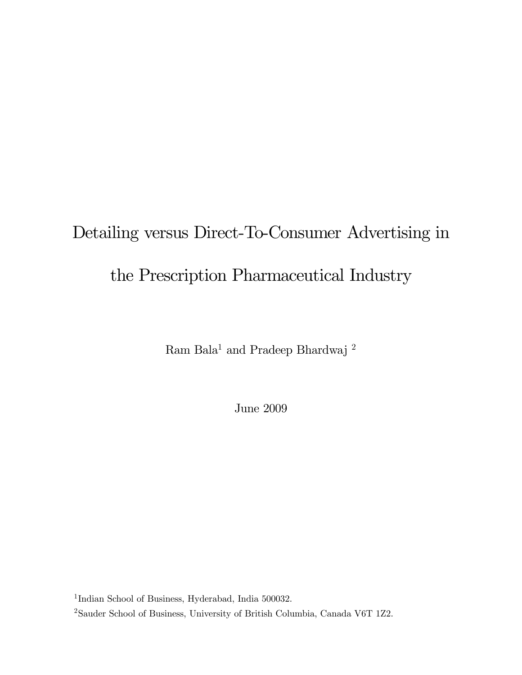# Detailing versus Direct-To-Consumer Advertising in the Prescription Pharmaceutical Industry

 $\rm{Ram}$   $\rm{Bala^1}$  and  $\rm{Pradeep}$   $\rm{Bhardwaj}$   $^2$ 

June 2009

<sup>1</sup>Indian School of Business, Hyderabad, India 500032.

 $^{2}$ Sauder School of Business, University of British Columbia, Canada V6T 1Z2.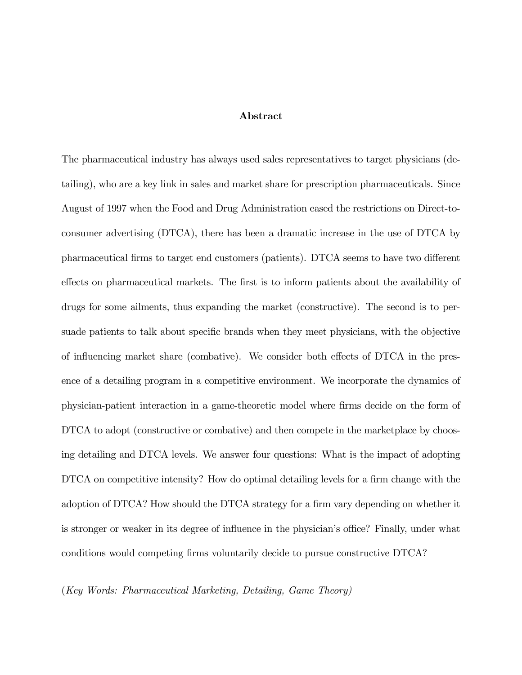#### Abstract

The pharmaceutical industry has always used sales representatives to target physicians (detailing), who are a key link in sales and market share for prescription pharmaceuticals. Since August of 1997 when the Food and Drug Administration eased the restrictions on Direct-toconsumer advertising (DTCA), there has been a dramatic increase in the use of DTCA by pharmaceutical firms to target end customers (patients). DTCA seems to have two different effects on pharmaceutical markets. The first is to inform patients about the availability of drugs for some ailments, thus expanding the market (constructive). The second is to persuade patients to talk about specific brands when they meet physicians, with the objective of influencing market share (combative). We consider both effects of DTCA in the presence of a detailing program in a competitive environment. We incorporate the dynamics of physician-patient interaction in a game-theoretic model where firms decide on the form of DTCA to adopt (constructive or combative) and then compete in the marketplace by choosing detailing and DTCA levels. We answer four questions: What is the impact of adopting DTCA on competitive intensity? How do optimal detailing levels for a firm change with the adoption of DTCA? How should the DTCA strategy for a firm vary depending on whether it is stronger or weaker in its degree of influence in the physician's office? Finally, under what conditions would competing firms voluntarily decide to pursue constructive DTCA?

(Key Words: Pharmaceutical Marketing, Detailing, Game Theory)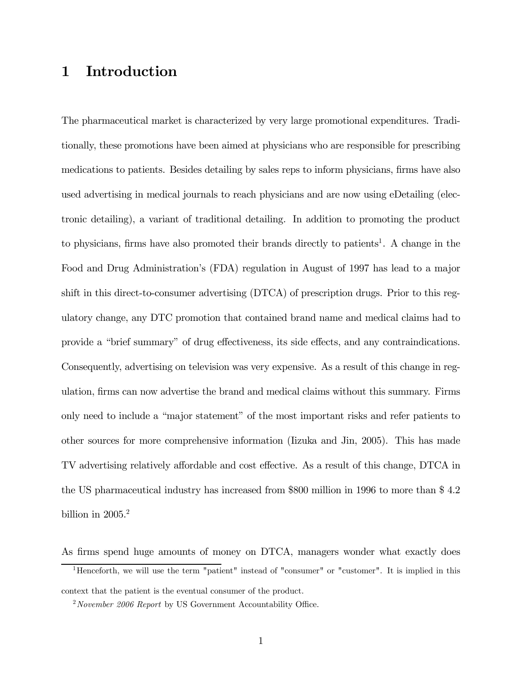# 1 Introduction

The pharmaceutical market is characterized by very large promotional expenditures. Traditionally, these promotions have been aimed at physicians who are responsible for prescribing medications to patients. Besides detailing by sales reps to inform physicians, firms have also used advertising in medical journals to reach physicians and are now using eDetailing (electronic detailing), a variant of traditional detailing. In addition to promoting the product to physicians, firms have also promoted their brands directly to patients<sup>1</sup>. A change in the Food and Drug Administration's (FDA) regulation in August of 1997 has lead to a major shift in this direct-to-consumer advertising (DTCA) of prescription drugs. Prior to this regulatory change, any DTC promotion that contained brand name and medical claims had to provide a "brief summary" of drug effectiveness, its side effects, and any contraindications. Consequently, advertising on television was very expensive. As a result of this change in regulation, firms can now advertise the brand and medical claims without this summary. Firms only need to include a "major statement" of the most important risks and refer patients to other sources for more comprehensive information (Iizuka and Jin, 2005). This has made TV advertising relatively affordable and cost effective. As a result of this change, DTCA in the US pharmaceutical industry has increased from \$800 million in 1996 to more than \$ 4.2 billion in  $2005.<sup>2</sup>$ 

As firms spend huge amounts of money on DTCA, managers wonder what exactly does

<sup>&</sup>lt;sup>1</sup>Henceforth, we will use the term "patient" instead of "consumer" or "customer". It is implied in this context that the patient is the eventual consumer of the product.

 $2\,November$  2006 Report by US Government Accountability Office.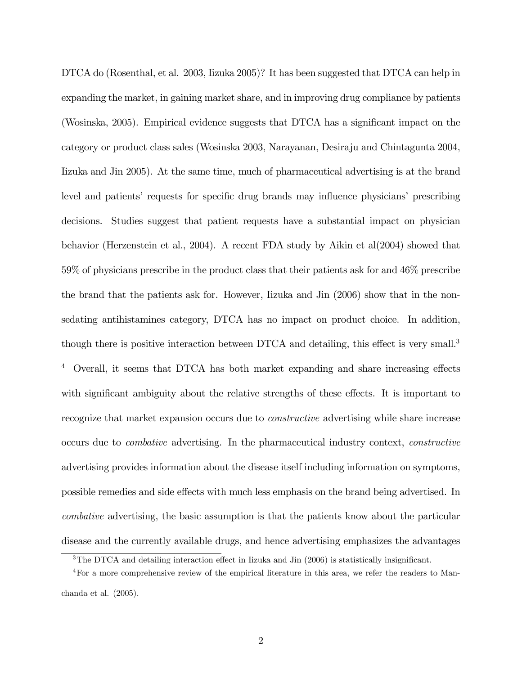DTCA do (Rosenthal, et al. 2003, Iizuka 2005)? It has been suggested that DTCA can help in expanding the market, in gaining market share, and in improving drug compliance by patients (Wosinska, 2005). Empirical evidence suggests that DTCA has a significant impact on the category or product class sales (Wosinska 2003, Narayanan, Desiraju and Chintagunta 2004, Iizuka and Jin 2005). At the same time, much of pharmaceutical advertising is at the brand level and patients' requests for specific drug brands may influence physicians' prescribing decisions. Studies suggest that patient requests have a substantial impact on physician behavior (Herzenstein et al., 2004). A recent FDA study by Aikin et al(2004) showed that 59% of physicians prescribe in the product class that their patients ask for and 46% prescribe the brand that the patients ask for. However, Iizuka and Jin (2006) show that in the nonsedating antihistamines category, DTCA has no impact on product choice. In addition, though there is positive interaction between DTCA and detailing, this effect is very small.<sup>3</sup> <sup>4</sup> Overall, it seems that DTCA has both market expanding and share increasing effects with significant ambiguity about the relative strengths of these effects. It is important to recognize that market expansion occurs due to constructive advertising while share increase occurs due to combative advertising. In the pharmaceutical industry context, constructive advertising provides information about the disease itself including information on symptoms, possible remedies and side effects with much less emphasis on the brand being advertised. In combative advertising, the basic assumption is that the patients know about the particular disease and the currently available drugs, and hence advertising emphasizes the advantages

<sup>&</sup>lt;sup>3</sup>The DTCA and detailing interaction effect in Iizuka and Jin (2006) is statistically insignificant.

<sup>4</sup>For a more comprehensive review of the empirical literature in this area, we refer the readers to Manchanda et al. (2005).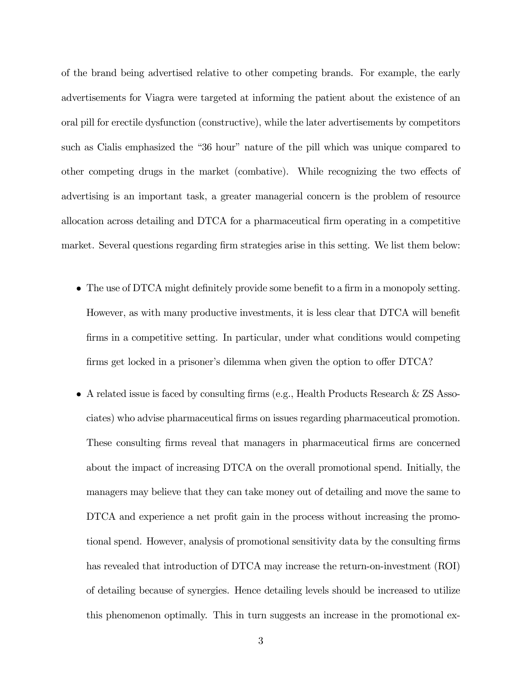of the brand being advertised relative to other competing brands. For example, the early advertisements for Viagra were targeted at informing the patient about the existence of an oral pill for erectile dysfunction (constructive), while the later advertisements by competitors such as Cialis emphasized the "36 hour" nature of the pill which was unique compared to other competing drugs in the market (combative). While recognizing the two effects of advertising is an important task, a greater managerial concern is the problem of resource allocation across detailing and DTCA for a pharmaceutical firm operating in a competitive market. Several questions regarding firm strategies arise in this setting. We list them below:

- The use of DTCA might definitely provide some benefit to a firm in a monopoly setting. However, as with many productive investments, it is less clear that DTCA will benefit firms in a competitive setting. In particular, under what conditions would competing firms get locked in a prisoner's dilemma when given the option to offer DTCA?
- A related issue is faced by consulting firms (e.g., Health Products Research & ZS Associates) who advise pharmaceutical firms on issues regarding pharmaceutical promotion. These consulting firms reveal that managers in pharmaceutical firms are concerned about the impact of increasing DTCA on the overall promotional spend. Initially, the managers may believe that they can take money out of detailing and move the same to DTCA and experience a net profit gain in the process without increasing the promotional spend. However, analysis of promotional sensitivity data by the consulting firms has revealed that introduction of DTCA may increase the return-on-investment (ROI) of detailing because of synergies. Hence detailing levels should be increased to utilize this phenomenon optimally. This in turn suggests an increase in the promotional ex-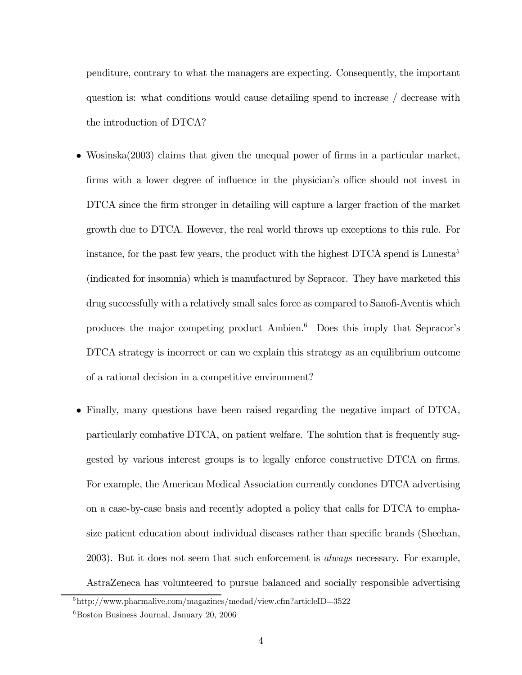penditure, contrary to what the managers are expecting. Consequently, the important question is: what conditions would cause detailing spend to increase / decrease with the introduction of DTCA?

- Wosinska(2003) claims that given the unequal power of firms in a particular market, firms with a lower degree of influence in the physician's office should not invest in DTCA since the firm stronger in detailing will capture a larger fraction of the market growth due to DTCA. However, the real world throws up exceptions to this rule. For instance, for the past few years, the product with the highest  $\text{DTCA}$  spend is Lunesta<sup>5</sup> (indicated for insomnia) which is manufactured by Sepracor. They have marketed this drug successfully with a relatively small sales force as compared to Sanofi-Aventis which produces the major competing product Ambien.6 Does this imply that Sepracor's DTCA strategy is incorrect or can we explain this strategy as an equilibrium outcome of a rational decision in a competitive environment?
- Finally, many questions have been raised regarding the negative impact of DTCA, particularly combative DTCA, on patient welfare. The solution that is frequently suggested by various interest groups is to legally enforce constructive DTCA on firms. For example, the American Medical Association currently condones DTCA advertising on a case-by-case basis and recently adopted a policy that calls for DTCA to emphasize patient education about individual diseases rather than specific brands (Sheehan, 2003). But it does not seem that such enforcement is always necessary. For example, AstraZeneca has volunteered to pursue balanced and socially responsible advertising

 $5$ http://www.pharmalive.com/magazines/medad/view.cfm?articleID=3522

 ${}^{6}$ Boston Business Journal, January 20, 2006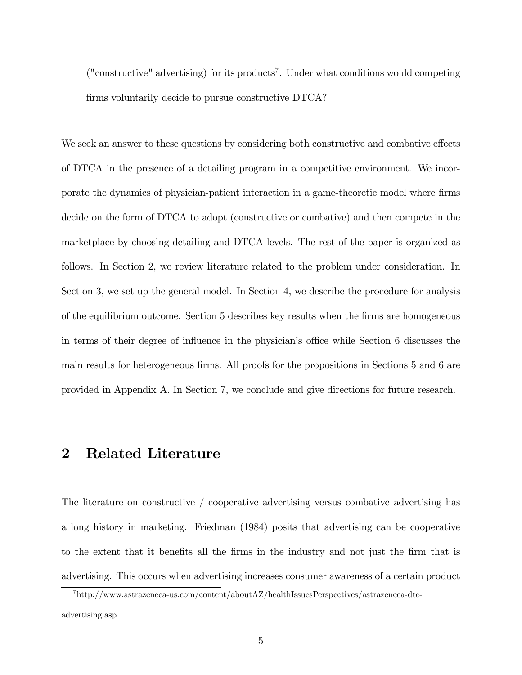$("constructive" advertising)$  for its products<sup>7</sup>. Under what conditions would competing firms voluntarily decide to pursue constructive DTCA?

We seek an answer to these questions by considering both constructive and combative effects of DTCA in the presence of a detailing program in a competitive environment. We incorporate the dynamics of physician-patient interaction in a game-theoretic model where firms decide on the form of DTCA to adopt (constructive or combative) and then compete in the marketplace by choosing detailing and DTCA levels. The rest of the paper is organized as follows. In Section 2, we review literature related to the problem under consideration. In Section 3, we set up the general model. In Section 4, we describe the procedure for analysis of the equilibrium outcome. Section 5 describes key results when the firms are homogeneous in terms of their degree of influence in the physician's office while Section 6 discusses the main results for heterogeneous firms. All proofs for the propositions in Sections 5 and 6 are provided in Appendix A. In Section 7, we conclude and give directions for future research.

#### 2 Related Literature

The literature on constructive / cooperative advertising versus combative advertising has a long history in marketing. Friedman (1984) posits that advertising can be cooperative to the extent that it benefits all the firms in the industry and not just the firm that is advertising. This occurs when advertising increases consumer awareness of a certain product

<sup>7</sup>http://www.astrazeneca-us.com/content/aboutAZ/healthIssuesPerspectives/astrazeneca-dtcadvertising.asp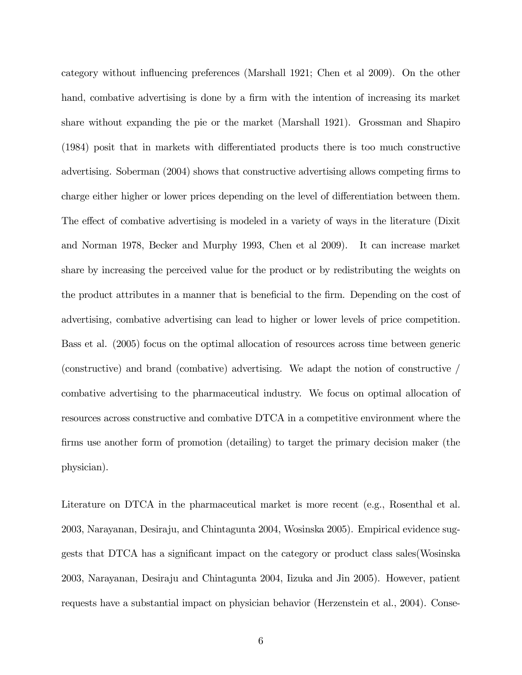category without influencing preferences (Marshall 1921; Chen et al 2009). On the other hand, combative advertising is done by a firm with the intention of increasing its market share without expanding the pie or the market (Marshall 1921). Grossman and Shapiro (1984) posit that in markets with differentiated products there is too much constructive advertising. Soberman (2004) shows that constructive advertising allows competing firms to charge either higher or lower prices depending on the level of differentiation between them. The effect of combative advertising is modeled in a variety of ways in the literature (Dixit and Norman 1978, Becker and Murphy 1993, Chen et al 2009). It can increase market share by increasing the perceived value for the product or by redistributing the weights on the product attributes in a manner that is beneficial to the firm. Depending on the cost of advertising, combative advertising can lead to higher or lower levels of price competition. Bass et al. (2005) focus on the optimal allocation of resources across time between generic (constructive) and brand (combative) advertising. We adapt the notion of constructive / combative advertising to the pharmaceutical industry. We focus on optimal allocation of resources across constructive and combative DTCA in a competitive environment where the firms use another form of promotion (detailing) to target the primary decision maker (the physician).

Literature on DTCA in the pharmaceutical market is more recent (e.g., Rosenthal et al. 2003, Narayanan, Desiraju, and Chintagunta 2004, Wosinska 2005). Empirical evidence suggests that DTCA has a significant impact on the category or product class sales(Wosinska 2003, Narayanan, Desiraju and Chintagunta 2004, Iizuka and Jin 2005). However, patient requests have a substantial impact on physician behavior (Herzenstein et al., 2004). Conse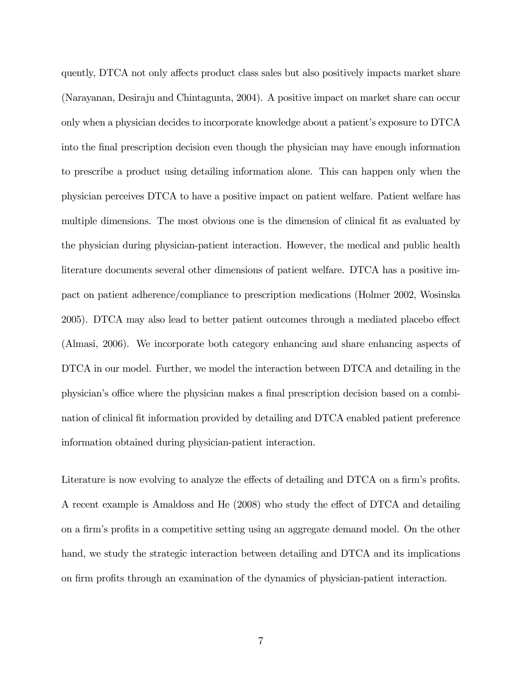quently, DTCA not only affects product class sales but also positively impacts market share (Narayanan, Desiraju and Chintagunta, 2004). A positive impact on market share can occur only when a physician decides to incorporate knowledge about a patient's exposure to DTCA into the final prescription decision even though the physician may have enough information to prescribe a product using detailing information alone. This can happen only when the physician perceives DTCA to have a positive impact on patient welfare. Patient welfare has multiple dimensions. The most obvious one is the dimension of clinical fit as evaluated by the physician during physician-patient interaction. However, the medical and public health literature documents several other dimensions of patient welfare. DTCA has a positive impact on patient adherence/compliance to prescription medications (Holmer 2002, Wosinska 2005). DTCA may also lead to better patient outcomes through a mediated placebo effect (Almasi, 2006). We incorporate both category enhancing and share enhancing aspects of DTCA in our model. Further, we model the interaction between DTCA and detailing in the physician's office where the physician makes a final prescription decision based on a combination of clinical fit information provided by detailing and DTCA enabled patient preference information obtained during physician-patient interaction.

Literature is now evolving to analyze the effects of detailing and DTCA on a firm's profits. A recent example is Amaldoss and He (2008) who study the effect of DTCA and detailing on a firm's profits in a competitive setting using an aggregate demand model. On the other hand, we study the strategic interaction between detailing and DTCA and its implications on firm profits through an examination of the dynamics of physician-patient interaction.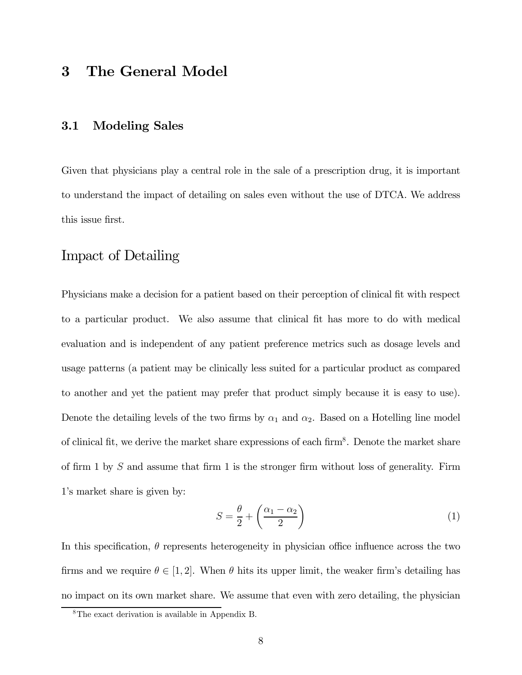#### 3 The General Model

#### 3.1 Modeling Sales

Given that physicians play a central role in the sale of a prescription drug, it is important to understand the impact of detailing on sales even without the use of DTCA. We address this issue first.

#### Impact of Detailing

Physicians make a decision for a patient based on their perception of clinical fit with respect to a particular product. We also assume that clinical fit has more to do with medical evaluation and is independent of any patient preference metrics such as dosage levels and usage patterns (a patient may be clinically less suited for a particular product as compared to another and yet the patient may prefer that product simply because it is easy to use). Denote the detailing levels of the two firms by  $\alpha_1$  and  $\alpha_2$ . Based on a Hotelling line model of clinical fit, we derive the market share expressions of each firm<sup>8</sup>. Denote the market share of firm 1 by S and assume that firm 1 is the stronger firm without loss of generality. Firm 1's market share is given by:

$$
S = \frac{\theta}{2} + \left(\frac{\alpha_1 - \alpha_2}{2}\right) \tag{1}
$$

In this specification,  $\theta$  represents heterogeneity in physician office influence across the two firms and we require  $\theta \in [1, 2]$ . When  $\theta$  hits its upper limit, the weaker firm's detailing has no impact on its own market share. We assume that even with zero detailing, the physician

<sup>8</sup>The exact derivation is available in Appendix B.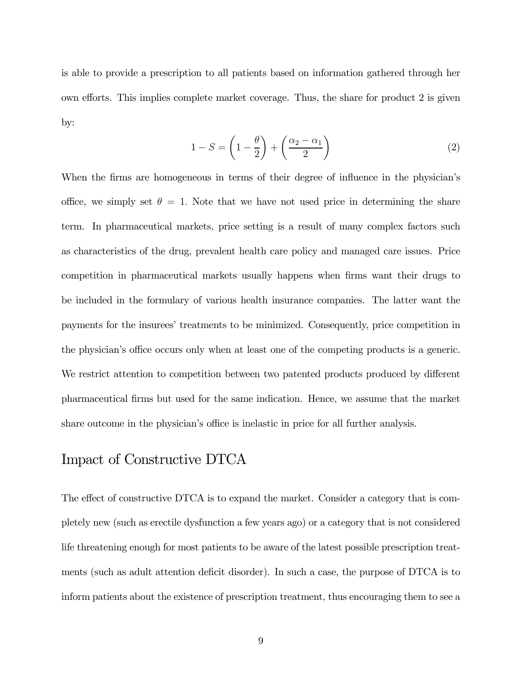is able to provide a prescription to all patients based on information gathered through her own efforts. This implies complete market coverage. Thus, the share for product 2 is given by:

$$
1 - S = \left(1 - \frac{\theta}{2}\right) + \left(\frac{\alpha_2 - \alpha_1}{2}\right) \tag{2}
$$

When the firms are homogeneous in terms of their degree of influence in the physician's office, we simply set  $\theta = 1$ . Note that we have not used price in determining the share term. In pharmaceutical markets, price setting is a result of many complex factors such as characteristics of the drug, prevalent health care policy and managed care issues. Price competition in pharmaceutical markets usually happens when firms want their drugs to be included in the formulary of various health insurance companies. The latter want the payments for the insurees' treatments to be minimized. Consequently, price competition in the physician's office occurs only when at least one of the competing products is a generic. We restrict attention to competition between two patented products produced by different pharmaceutical firms but used for the same indication. Hence, we assume that the market share outcome in the physician's office is inelastic in price for all further analysis.

#### Impact of Constructive DTCA

The effect of constructive DTCA is to expand the market. Consider a category that is completely new (such as erectile dysfunction a few years ago) or a category that is not considered life threatening enough for most patients to be aware of the latest possible prescription treatments (such as adult attention deficit disorder). In such a case, the purpose of DTCA is to inform patients about the existence of prescription treatment, thus encouraging them to see a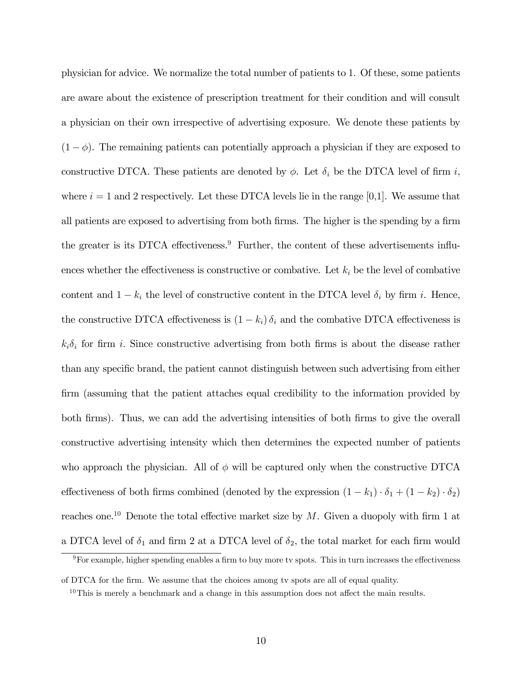physician for advice. We normalize the total number of patients to 1. Of these, some patients are aware about the existence of prescription treatment for their condition and will consult a physician on their own irrespective of advertising exposure. We denote these patients by  $(1 - \phi)$ . The remaining patients can potentially approach a physician if they are exposed to constructive DTCA. These patients are denoted by  $\phi$ . Let  $\delta_i$  be the DTCA level of firm i, where  $i = 1$  and 2 respectively. Let these DTCA levels lie in the range [0,1]. We assume that all patients are exposed to advertising from both firms. The higher is the spending by a firm the greater is its DTCA effectiveness.<sup>9</sup> Further, the content of these advertisements influences whether the effectiveness is constructive or combative. Let  $k_i$  be the level of combative content and  $1 - k_i$  the level of constructive content in the DTCA level  $\delta_i$  by firm i. Hence, the constructive DTCA effectiveness is  $(1 - k_i) \delta_i$  and the combative DTCA effectiveness is  $k_i\delta_i$  for firm i. Since constructive advertising from both firms is about the disease rather than any specific brand, the patient cannot distinguish between such advertising from either firm (assuming that the patient attaches equal credibility to the information provided by both firms). Thus, we can add the advertising intensities of both firms to give the overall constructive advertising intensity which then determines the expected number of patients who approach the physician. All of  $\phi$  will be captured only when the constructive DTCA effectiveness of both firms combined (denoted by the expression  $(1 - k_1) \cdot \delta_1 + (1 - k_2) \cdot \delta_2$ ) reaches one.<sup>10</sup> Denote the total effective market size by  $M$ . Given a duopoly with firm 1 at a DTCA level of  $\delta_1$  and firm 2 at a DTCA level of  $\delta_2$ , the total market for each firm would

9For example, higher spending enables a firm to buy more tv spots. This in turn increases the effectiveness

of DTCA for the firm. We assume that the choices among tv spots are all of equal quality.

 $10$ This is merely a benchmark and a change in this assumption does not affect the main results.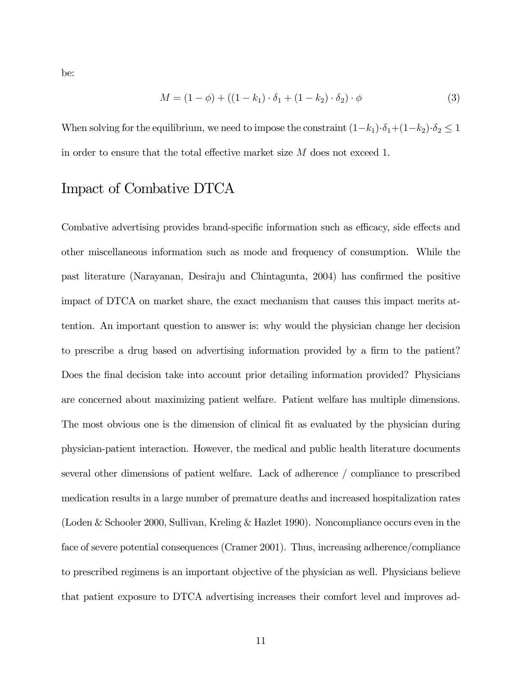be:

$$
M = (1 - \phi) + ((1 - k_1) \cdot \delta_1 + (1 - k_2) \cdot \delta_2) \cdot \phi \tag{3}
$$

When solving for the equilibrium, we need to impose the constraint  $(1-k_1)\cdot \delta_1 + (1-k_2)\cdot \delta_2 \leq 1$ in order to ensure that the total effective market size M does not exceed 1.

#### Impact of Combative DTCA

Combative advertising provides brand-specific information such as efficacy, side effects and other miscellaneous information such as mode and frequency of consumption. While the past literature (Narayanan, Desiraju and Chintagunta, 2004) has confirmed the positive impact of DTCA on market share, the exact mechanism that causes this impact merits attention. An important question to answer is: why would the physician change her decision to prescribe a drug based on advertising information provided by a firm to the patient? Does the final decision take into account prior detailing information provided? Physicians are concerned about maximizing patient welfare. Patient welfare has multiple dimensions. The most obvious one is the dimension of clinical fit as evaluated by the physician during physician-patient interaction. However, the medical and public health literature documents several other dimensions of patient welfare. Lack of adherence / compliance to prescribed medication results in a large number of premature deaths and increased hospitalization rates (Loden & Schooler 2000, Sullivan, Kreling & Hazlet 1990). Noncompliance occurs even in the face of severe potential consequences (Cramer 2001). Thus, increasing adherence/compliance to prescribed regimens is an important objective of the physician as well. Physicians believe that patient exposure to DTCA advertising increases their comfort level and improves ad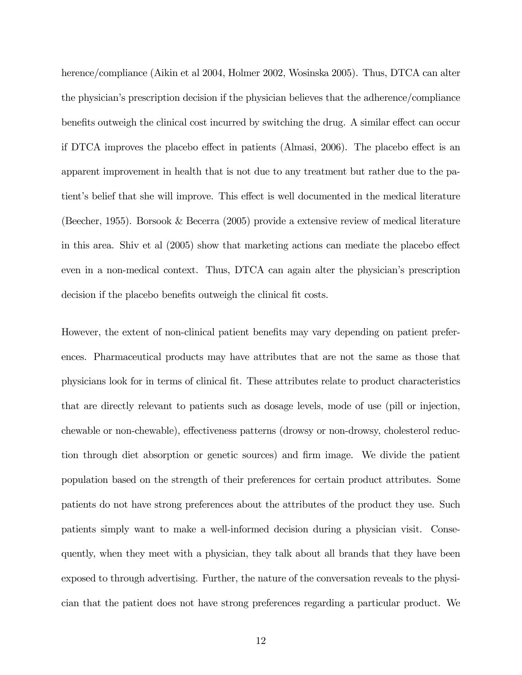herence/compliance (Aikin et al 2004, Holmer 2002, Wosinska 2005). Thus, DTCA can alter the physician's prescription decision if the physician believes that the adherence/compliance benefits outweigh the clinical cost incurred by switching the drug. A similar effect can occur if DTCA improves the placebo effect in patients (Almasi, 2006). The placebo effect is an apparent improvement in health that is not due to any treatment but rather due to the patient's belief that she will improve. This effect is well documented in the medical literature (Beecher, 1955). Borsook & Becerra (2005) provide a extensive review of medical literature in this area. Shiv et al (2005) show that marketing actions can mediate the placebo effect even in a non-medical context. Thus, DTCA can again alter the physician's prescription decision if the placebo benefits outweigh the clinical fit costs.

However, the extent of non-clinical patient benefits may vary depending on patient preferences. Pharmaceutical products may have attributes that are not the same as those that physicians look for in terms of clinical fit. These attributes relate to product characteristics that are directly relevant to patients such as dosage levels, mode of use (pill or injection, chewable or non-chewable), effectiveness patterns (drowsy or non-drowsy, cholesterol reduction through diet absorption or genetic sources) and firm image. We divide the patient population based on the strength of their preferences for certain product attributes. Some patients do not have strong preferences about the attributes of the product they use. Such patients simply want to make a well-informed decision during a physician visit. Consequently, when they meet with a physician, they talk about all brands that they have been exposed to through advertising. Further, the nature of the conversation reveals to the physician that the patient does not have strong preferences regarding a particular product. We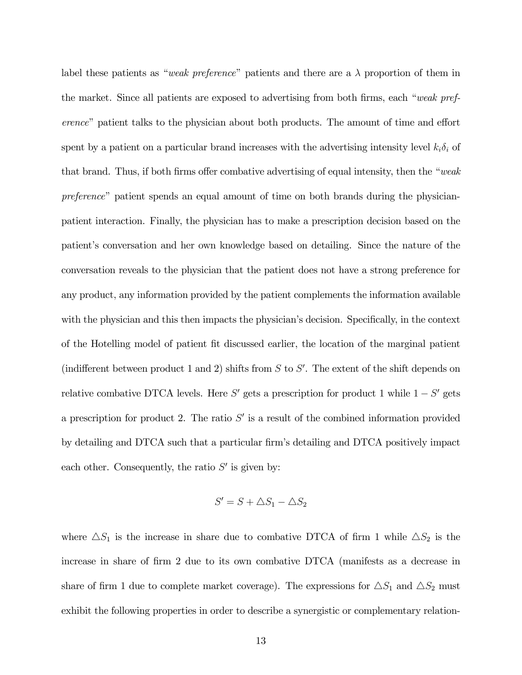label these patients as "weak preference" patients and there are a  $\lambda$  proportion of them in the market. Since all patients are exposed to advertising from both firms, each "weak preference" patient talks to the physician about both products. The amount of time and effort spent by a patient on a particular brand increases with the advertising intensity level  $k_i \delta_i$  of that brand. Thus, if both firms offer combative advertising of equal intensity, then the "weak preference" patient spends an equal amount of time on both brands during the physicianpatient interaction. Finally, the physician has to make a prescription decision based on the patient's conversation and her own knowledge based on detailing. Since the nature of the conversation reveals to the physician that the patient does not have a strong preference for any product, any information provided by the patient complements the information available with the physician and this then impacts the physician's decision. Specifically, in the context of the Hotelling model of patient fit discussed earlier, the location of the marginal patient (indifferent between product 1 and 2) shifts from  $S$  to  $S'$ . The extent of the shift depends on relative combative DTCA levels. Here  $S'$  gets a prescription for product 1 while  $1 - S'$  gets a prescription for product 2. The ratio  $S'$  is a result of the combined information provided by detailing and DTCA such that a particular firm's detailing and DTCA positively impact each other. Consequently, the ratio  $S'$  is given by:

$$
S' = S + \triangle S_1 - \triangle S_2
$$

where  $\Delta S_1$  is the increase in share due to combative DTCA of firm 1 while  $\Delta S_2$  is the increase in share of firm 2 due to its own combative DTCA (manifests as a decrease in share of firm 1 due to complete market coverage). The expressions for  $\triangle S_1$  and  $\triangle S_2$  must exhibit the following properties in order to describe a synergistic or complementary relation-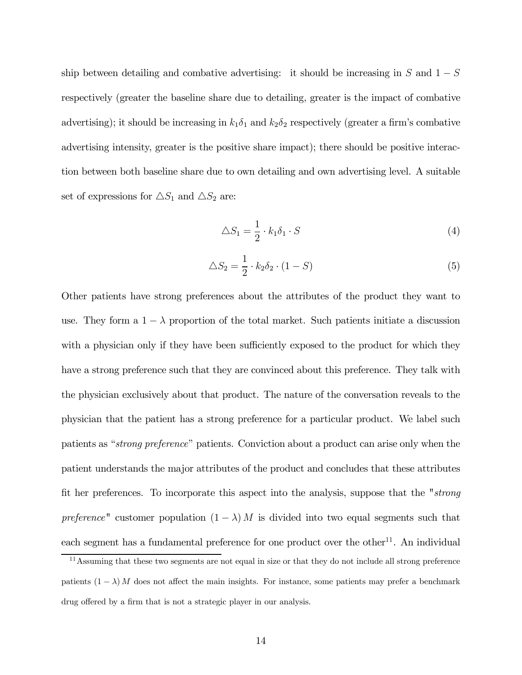ship between detailing and combative advertising: it should be increasing in  $S$  and  $1-S$ respectively (greater the baseline share due to detailing, greater is the impact of combative advertising); it should be increasing in  $k_1\delta_1$  and  $k_2\delta_2$  respectively (greater a firm's combative advertising intensity, greater is the positive share impact); there should be positive interaction between both baseline share due to own detailing and own advertising level. A suitable set of expressions for  $\triangle S_1$  and  $\triangle S_2$  are:

$$
\triangle S_1 = \frac{1}{2} \cdot k_1 \delta_1 \cdot S \tag{4}
$$

$$
\triangle S_2 = \frac{1}{2} \cdot k_2 \delta_2 \cdot (1 - S) \tag{5}
$$

Other patients have strong preferences about the attributes of the product they want to use. They form a  $1 - \lambda$  proportion of the total market. Such patients initiate a discussion with a physician only if they have been sufficiently exposed to the product for which they have a strong preference such that they are convinced about this preference. They talk with the physician exclusively about that product. The nature of the conversation reveals to the physician that the patient has a strong preference for a particular product. We label such patients as "strong preference" patients. Conviction about a product can arise only when the patient understands the major attributes of the product and concludes that these attributes fit her preferences. To incorporate this aspect into the analysis, suppose that the "strong preference" customer population  $(1 - \lambda) M$  is divided into two equal segments such that each segment has a fundamental preference for one product over the other<sup>11</sup>. An individual

<sup>11</sup>Assuming that these two segments are not equal in size or that they do not include all strong preference patients  $(1 - \lambda) M$  does not affect the main insights. For instance, some patients may prefer a benchmark drug offered by a firm that is not a strategic player in our analysis.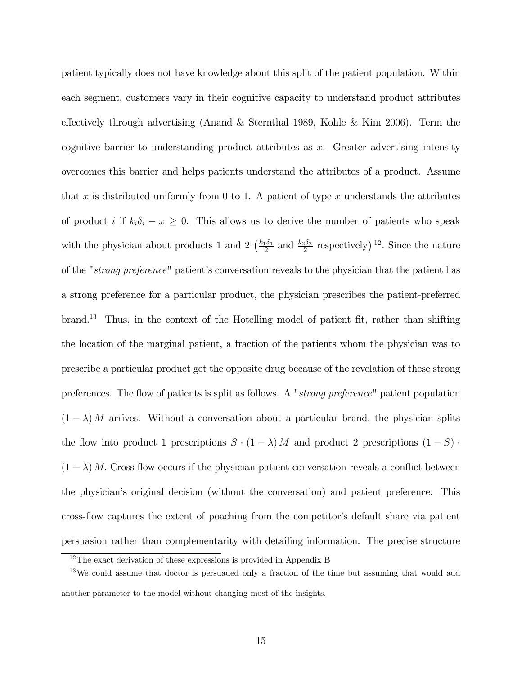patient typically does not have knowledge about this split of the patient population. Within each segment, customers vary in their cognitive capacity to understand product attributes effectively through advertising (Anand & Sternthal 1989, Kohle & Kim 2006). Term the cognitive barrier to understanding product attributes as  $x$ . Greater advertising intensity overcomes this barrier and helps patients understand the attributes of a product. Assume that x is distributed uniformly from 0 to 1. A patient of type x understands the attributes of product i if  $k_i \delta_i - x \geq 0$ . This allows us to derive the number of patients who speak with the physician about products 1 and 2  $(\frac{k_1\delta_1}{2}$  and  $\frac{k_2\delta_2}{2}$  respectively)<sup>12</sup>. Since the nature of the "strong preference" patient's conversation reveals to the physician that the patient has a strong preference for a particular product, the physician prescribes the patient-preferred brand.13 Thus, in the context of the Hotelling model of patient fit, rather than shifting the location of the marginal patient, a fraction of the patients whom the physician was to prescribe a particular product get the opposite drug because of the revelation of these strong preferences. The flow of patients is split as follows. A "strong preference" patient population  $(1 - \lambda)$  M arrives. Without a conversation about a particular brand, the physician splits the flow into product 1 prescriptions  $S \cdot (1 - \lambda) M$  and product 2 prescriptions  $(1 - S)$ .  $(1 - \lambda)$  M. Cross-flow occurs if the physician-patient conversation reveals a conflict between the physician's original decision (without the conversation) and patient preference. This cross-flow captures the extent of poaching from the competitor's default share via patient persuasion rather than complementarity with detailing information. The precise structure

 $12$ The exact derivation of these expressions is provided in Appendix B

 $13\,\text{We could assume that doctor is persuated only a fraction of the time but assuming that would add the current time.}$ another parameter to the model without changing most of the insights.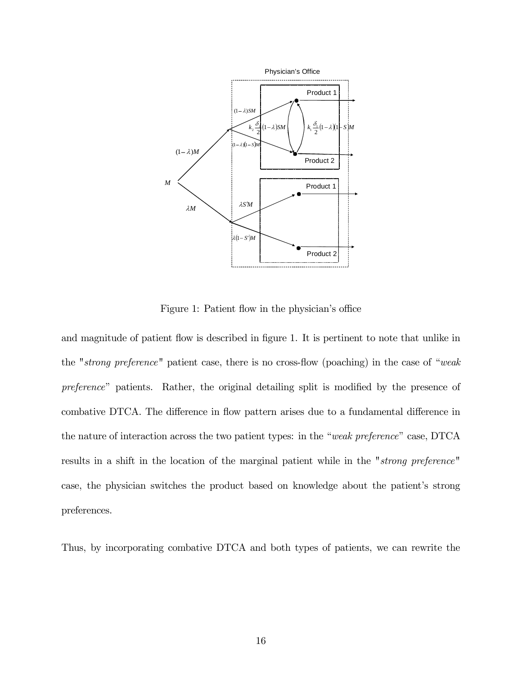

Figure 1: Patient flow in the physician's office

and magnitude of patient flow is described in figure 1. It is pertinent to note that unlike in the "strong preference" patient case, there is no cross-flow (poaching) in the case of "weak preference" patients. Rather, the original detailing split is modified by the presence of combative DTCA. The difference in flow pattern arises due to a fundamental difference in the nature of interaction across the two patient types: in the "weak preference" case, DTCA results in a shift in the location of the marginal patient while in the "strong preference" case, the physician switches the product based on knowledge about the patient's strong preferences.

Thus, by incorporating combative DTCA and both types of patients, we can rewrite the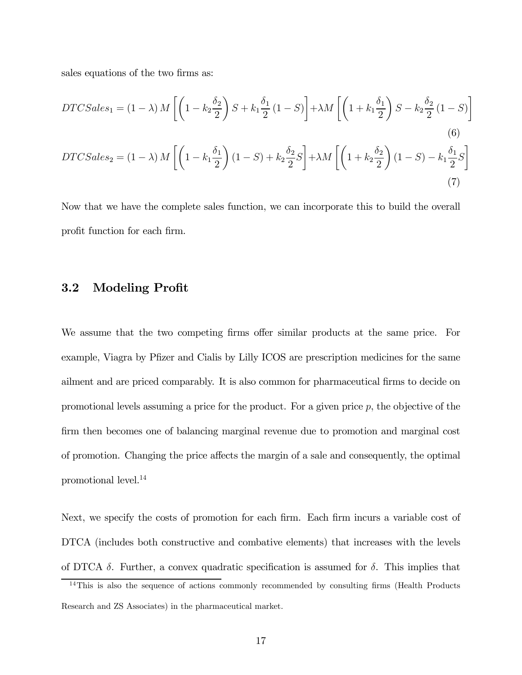sales equations of the two firms as:

$$
DTCSales_1 = (1 - \lambda) M \left[ \left( 1 - k_2 \frac{\delta_2}{2} \right) S + k_1 \frac{\delta_1}{2} (1 - S) \right] + \lambda M \left[ \left( 1 + k_1 \frac{\delta_1}{2} \right) S - k_2 \frac{\delta_2}{2} (1 - S) \right]
$$
\n
$$
(6)
$$
\n
$$
DTCSales_2 = (1 - \lambda) M \left[ \left( 1 - k_1 \frac{\delta_1}{2} \right) (1 - S) + k_2 \frac{\delta_2}{2} S \right] + \lambda M \left[ \left( 1 + k_2 \frac{\delta_2}{2} \right) (1 - S) - k_1 \frac{\delta_1}{2} S \right]
$$
\n
$$
(7)
$$

Now that we have the complete sales function, we can incorporate this to build the overall profit function for each firm.

#### 3.2 Modeling Profit

We assume that the two competing firms offer similar products at the same price. For example, Viagra by Pfizer and Cialis by Lilly ICOS are prescription medicines for the same ailment and are priced comparably. It is also common for pharmaceutical firms to decide on promotional levels assuming a price for the product. For a given price  $p$ , the objective of the firm then becomes one of balancing marginal revenue due to promotion and marginal cost of promotion. Changing the price affects the margin of a sale and consequently, the optimal promotional level.14

Next, we specify the costs of promotion for each firm. Each firm incurs a variable cost of DTCA (includes both constructive and combative elements) that increases with the levels of DTCA  $\delta$ . Further, a convex quadratic specification is assumed for  $\delta$ . This implies that

<sup>&</sup>lt;sup>14</sup>This is also the sequence of actions commonly recommended by consulting firms (Health Products Research and ZS Associates) in the pharmaceutical market.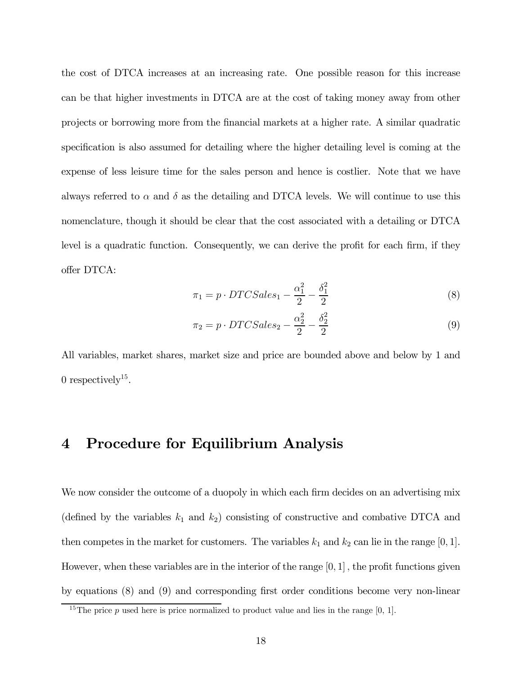the cost of DTCA increases at an increasing rate. One possible reason for this increase can be that higher investments in DTCA are at the cost of taking money away from other projects or borrowing more from the financial markets at a higher rate. A similar quadratic specification is also assumed for detailing where the higher detailing level is coming at the expense of less leisure time for the sales person and hence is costlier. Note that we have always referred to  $\alpha$  and  $\delta$  as the detailing and DTCA levels. We will continue to use this nomenclature, though it should be clear that the cost associated with a detailing or DTCA level is a quadratic function. Consequently, we can derive the profit for each firm, if they offer DTCA:

$$
\pi_1 = p \cdot DTCSales_1 - \frac{\alpha_1^2}{2} - \frac{\delta_1^2}{2} \tag{8}
$$

$$
\pi_2 = p \cdot DTCSales_2 - \frac{\alpha_2^2}{2} - \frac{\delta_2^2}{2}
$$
\n
$$
\tag{9}
$$

All variables, market shares, market size and price are bounded above and below by 1 and 0 respectively<sup>15</sup>.

#### 4 Procedure for Equilibrium Analysis

We now consider the outcome of a duopoly in which each firm decides on an advertising mix (defined by the variables  $k_1$  and  $k_2$ ) consisting of constructive and combative DTCA and then competes in the market for customers. The variables  $k_1$  and  $k_2$  can lie in the range  $[0, 1]$ . However, when these variables are in the interior of the range  $[0, 1]$ , the profit functions given by equations (8) and (9) and corresponding first order conditions become very non-linear

<sup>&</sup>lt;sup>15</sup>The price p used here is price normalized to product value and lies in the range  $[0, 1]$ .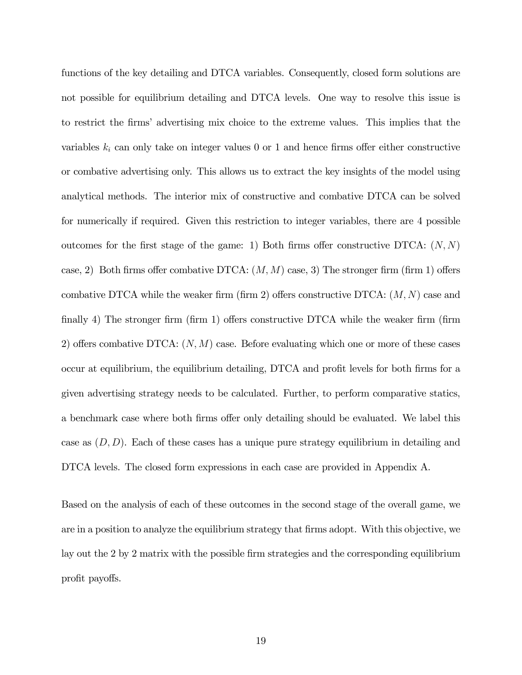functions of the key detailing and DTCA variables. Consequently, closed form solutions are not possible for equilibrium detailing and DTCA levels. One way to resolve this issue is to restrict the firms' advertising mix choice to the extreme values. This implies that the variables  $k_i$  can only take on integer values 0 or 1 and hence firms offer either constructive or combative advertising only. This allows us to extract the key insights of the model using analytical methods. The interior mix of constructive and combative DTCA can be solved for numerically if required. Given this restriction to integer variables, there are 4 possible outcomes for the first stage of the game: 1) Both firms offer constructive DTCA:  $(N, N)$ case, 2) Both firms offer combative DTCA:  $(M, M)$  case, 3) The stronger firm (firm 1) offers combative DTCA while the weaker firm (firm 2) offers constructive DTCA:  $(M, N)$  case and finally 4) The stronger firm (firm 1) offers constructive DTCA while the weaker firm (firm 2) offers combative DTCA:  $(N, M)$  case. Before evaluating which one or more of these cases occur at equilibrium, the equilibrium detailing, DTCA and profit levels for both firms for a given advertising strategy needs to be calculated. Further, to perform comparative statics, a benchmark case where both firms offer only detailing should be evaluated. We label this case as  $(D, D)$ . Each of these cases has a unique pure strategy equilibrium in detailing and DTCA levels. The closed form expressions in each case are provided in Appendix A.

Based on the analysis of each of these outcomes in the second stage of the overall game, we are in a position to analyze the equilibrium strategy that firms adopt. With this objective, we lay out the 2 by 2 matrix with the possible firm strategies and the corresponding equilibrium profit payoffs.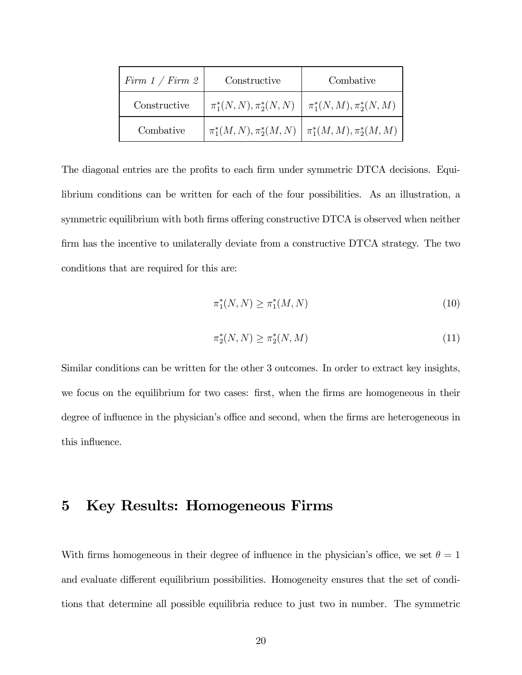| Firm $1 / Firm$ 2 | Constructive | Combative                                                         |
|-------------------|--------------|-------------------------------------------------------------------|
| Constructive      |              | $\pi_1^*(N,N), \pi_2^*(N,N) \mid \pi_1^*(N,M), \pi_2^*(N,M)$      |
| Combative         |              | $\pi_1^*(M,N), \pi_2^*(M,N) \mid \pi_1^*(M,M), \pi_2^*(M,M) \mid$ |

The diagonal entries are the profits to each firm under symmetric DTCA decisions. Equilibrium conditions can be written for each of the four possibilities. As an illustration, a symmetric equilibrium with both firms offering constructive DTCA is observed when neither firm has the incentive to unilaterally deviate from a constructive DTCA strategy. The two conditions that are required for this are:

$$
\pi_1^*(N, N) \ge \pi_1^*(M, N) \tag{10}
$$

$$
\pi_2^*(N, N) \ge \pi_2^*(N, M) \tag{11}
$$

Similar conditions can be written for the other 3 outcomes. In order to extract key insights, we focus on the equilibrium for two cases: first, when the firms are homogeneous in their degree of influence in the physician's office and second, when the firms are heterogeneous in this influence.

#### 5 Key Results: Homogeneous Firms

With firms homogeneous in their degree of influence in the physician's office, we set  $\theta = 1$ and evaluate different equilibrium possibilities. Homogeneity ensures that the set of conditions that determine all possible equilibria reduce to just two in number. The symmetric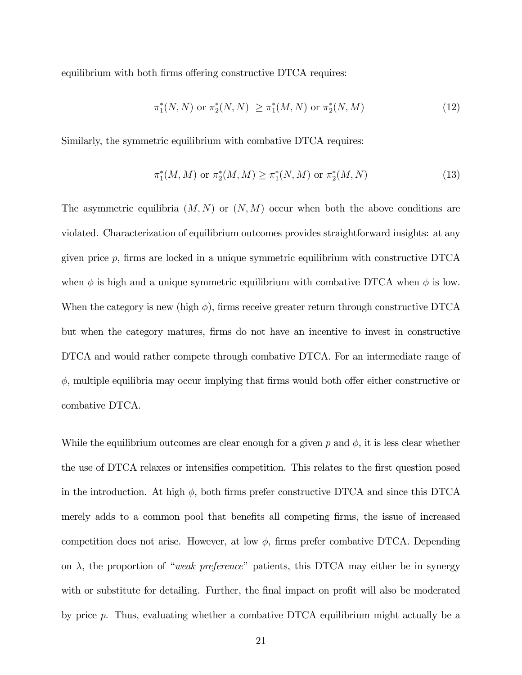equilibrium with both firms offering constructive DTCA requires:

$$
\pi_1^*(N, N) \text{ or } \pi_2^*(N, N) \ge \pi_1^*(M, N) \text{ or } \pi_2^*(N, M)
$$
\n(12)

Similarly, the symmetric equilibrium with combative DTCA requires:

$$
\pi_1^*(M, M) \text{ or } \pi_2^*(M, M) \ge \pi_1^*(N, M) \text{ or } \pi_2^*(M, N)
$$
 (13)

The asymmetric equilibria  $(M, N)$  or  $(N, M)$  occur when both the above conditions are violated. Characterization of equilibrium outcomes provides straightforward insights: at any given price  $p$ , firms are locked in a unique symmetric equilibrium with constructive DTCA when  $\phi$  is high and a unique symmetric equilibrium with combative DTCA when  $\phi$  is low. When the category is new (high  $\phi$ ), firms receive greater return through constructive DTCA but when the category matures, firms do not have an incentive to invest in constructive DTCA and would rather compete through combative DTCA. For an intermediate range of  $\phi$ , multiple equilibria may occur implying that firms would both offer either constructive or combative DTCA.

While the equilibrium outcomes are clear enough for a given p and  $\phi$ , it is less clear whether the use of DTCA relaxes or intensifies competition. This relates to the first question posed in the introduction. At high  $\phi$ , both firms prefer constructive DTCA and since this DTCA merely adds to a common pool that benefits all competing firms, the issue of increased competition does not arise. However, at low  $\phi$ , firms prefer combative DTCA. Depending on  $\lambda$ , the proportion of "weak preference" patients, this DTCA may either be in synergy with or substitute for detailing. Further, the final impact on profit will also be moderated by price p. Thus, evaluating whether a combative DTCA equilibrium might actually be a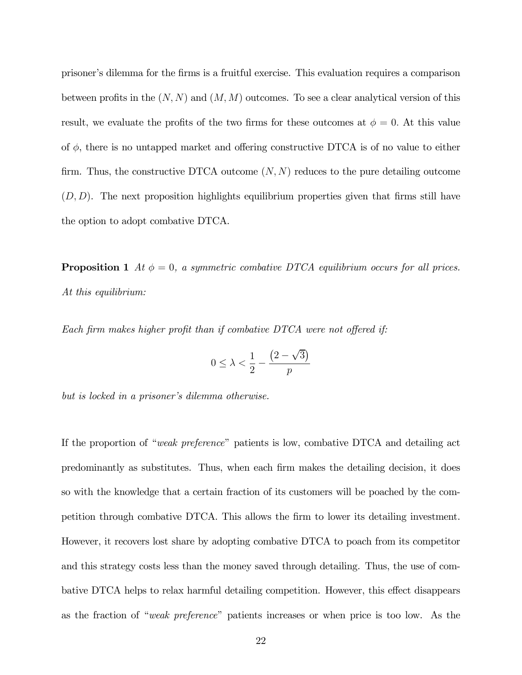prisoner's dilemma for the firms is a fruitful exercise. This evaluation requires a comparison between profits in the  $(N, N)$  and  $(M, M)$  outcomes. To see a clear analytical version of this result, we evaluate the profits of the two firms for these outcomes at  $\phi = 0$ . At this value of  $\phi$ , there is no untapped market and offering constructive DTCA is of no value to either firm. Thus, the constructive DTCA outcome  $(N, N)$  reduces to the pure detailing outcome  $(D, D)$ . The next proposition highlights equilibrium properties given that firms still have the option to adopt combative DTCA.

**Proposition 1** At  $\phi = 0$ , a symmetric combative DTCA equilibrium occurs for all prices. At this equilibrium:

Each firm makes higher profit than if combative DTCA were not offered if:

$$
0 \le \lambda < \frac{1}{2} - \frac{\left(2 - \sqrt{3}\right)}{p}
$$

but is locked in a prisoner's dilemma otherwise.

If the proportion of "weak preference" patients is low, combative DTCA and detailing act predominantly as substitutes. Thus, when each firm makes the detailing decision, it does so with the knowledge that a certain fraction of its customers will be poached by the competition through combative DTCA. This allows the firm to lower its detailing investment. However, it recovers lost share by adopting combative DTCA to poach from its competitor and this strategy costs less than the money saved through detailing. Thus, the use of combative DTCA helps to relax harmful detailing competition. However, this effect disappears as the fraction of "weak preference" patients increases or when price is too low. As the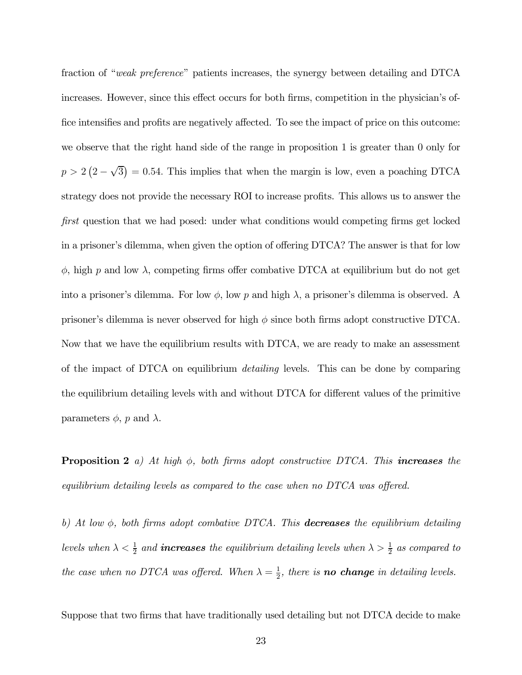fraction of "weak preference" patients increases, the synergy between detailing and DTCA increases. However, since this effect occurs for both firms, competition in the physician's office intensifies and profits are negatively affected. To see the impact of price on this outcome: we observe that the right hand side of the range in proposition 1 is greater than 0 only for  $p > 2(2-\sqrt{3}) = 0.54$ . This implies that when the margin is low, even a poaching DTCA strategy does not provide the necessary ROI to increase profits. This allows us to answer the first question that we had posed: under what conditions would competing firms get locked in a prisoner's dilemma, when given the option of offering DTCA? The answer is that for low  $\phi$ , high p and low  $\lambda$ , competing firms offer combative DTCA at equilibrium but do not get into a prisoner's dilemma. For low  $\phi$ , low p and high  $\lambda$ , a prisoner's dilemma is observed. A prisoner's dilemma is never observed for high  $\phi$  since both firms adopt constructive DTCA. Now that we have the equilibrium results with DTCA, we are ready to make an assessment of the impact of DTCA on equilibrium detailing levels. This can be done by comparing the equilibrium detailing levels with and without DTCA for different values of the primitive parameters  $\phi$ , p and  $\lambda$ .

**Proposition 2** a) At high  $\phi$ , both firms adopt constructive DTCA. This **increases** the equilibrium detailing levels as compared to the case when no DTCA was offered.

b) At low  $\phi$ , both firms adopt combative DTCA. This **decreases** the equilibrium detailing levels when  $\lambda < \frac{1}{2}$  and **increases** the equilibrium detailing levels when  $\lambda > \frac{1}{2}$  as compared to the case when no DTCA was offered. When  $\lambda = \frac{1}{2}$ , there is **no change** in detailing levels.

Suppose that two firms that have traditionally used detailing but not DTCA decide to make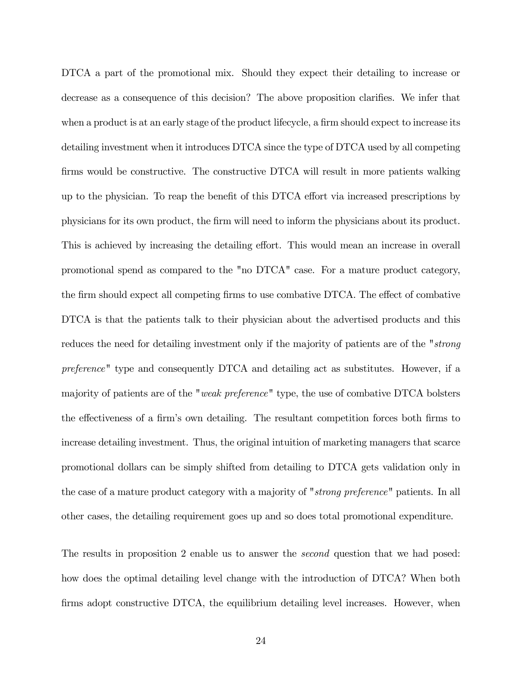DTCA a part of the promotional mix. Should they expect their detailing to increase or decrease as a consequence of this decision? The above proposition clarifies. We infer that when a product is at an early stage of the product lifecycle, a firm should expect to increase its detailing investment when it introduces DTCA since the type of DTCA used by all competing firms would be constructive. The constructive DTCA will result in more patients walking up to the physician. To reap the benefit of this DTCA effort via increased prescriptions by physicians for its own product, the firm will need to inform the physicians about its product. This is achieved by increasing the detailing effort. This would mean an increase in overall promotional spend as compared to the "no DTCA" case. For a mature product category, the firm should expect all competing firms to use combative DTCA. The effect of combative DTCA is that the patients talk to their physician about the advertised products and this reduces the need for detailing investment only if the majority of patients are of the "strong preference" type and consequently DTCA and detailing act as substitutes. However, if a majority of patients are of the "weak preference" type, the use of combative DTCA bolsters the effectiveness of a firm's own detailing. The resultant competition forces both firms to increase detailing investment. Thus, the original intuition of marketing managers that scarce promotional dollars can be simply shifted from detailing to DTCA gets validation only in the case of a mature product category with a majority of "strong preference" patients. In all other cases, the detailing requirement goes up and so does total promotional expenditure.

The results in proposition 2 enable us to answer the *second* question that we had posed: how does the optimal detailing level change with the introduction of DTCA? When both firms adopt constructive DTCA, the equilibrium detailing level increases. However, when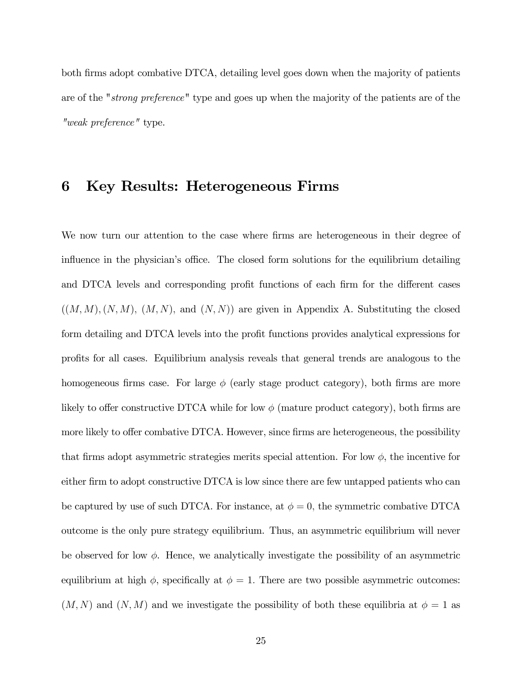both firms adopt combative DTCA, detailing level goes down when the majority of patients are of the "strong preference" type and goes up when the majority of the patients are of the "weak preference" type.

# 6 Key Results: Heterogeneous Firms

We now turn our attention to the case where firms are heterogeneous in their degree of influence in the physician's office. The closed form solutions for the equilibrium detailing and DTCA levels and corresponding profit functions of each firm for the different cases  $((M,M),(N,M),(M,N))$  and  $(N,N)$  are given in Appendix A. Substituting the closed form detailing and DTCA levels into the profit functions provides analytical expressions for profits for all cases. Equilibrium analysis reveals that general trends are analogous to the homogeneous firms case. For large  $\phi$  (early stage product category), both firms are more likely to offer constructive DTCA while for low  $\phi$  (mature product category), both firms are more likely to offer combative DTCA. However, since firms are heterogeneous, the possibility that firms adopt asymmetric strategies merits special attention. For low  $\phi$ , the incentive for either firm to adopt constructive DTCA is low since there are few untapped patients who can be captured by use of such DTCA. For instance, at  $\phi = 0$ , the symmetric combative DTCA outcome is the only pure strategy equilibrium. Thus, an asymmetric equilibrium will never be observed for low  $\phi$ . Hence, we analytically investigate the possibility of an asymmetric equilibrium at high  $\phi$ , specifically at  $\phi = 1$ . There are two possible asymmetric outcomes:  $(M, N)$  and  $(N, M)$  and we investigate the possibility of both these equilibria at  $\phi = 1$  as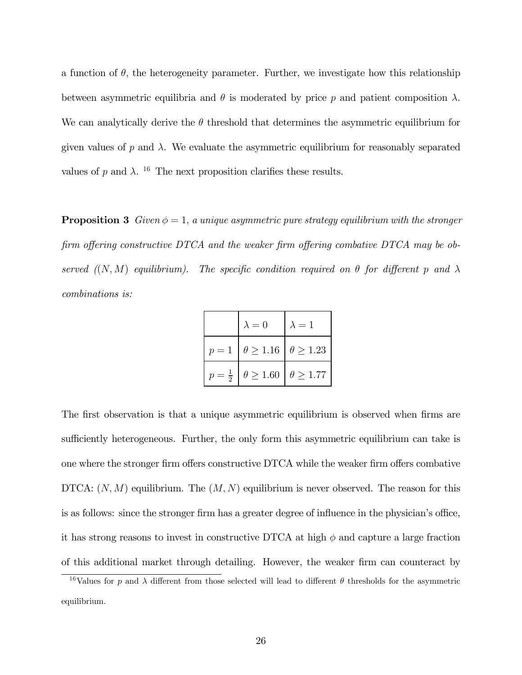a function of  $\theta$ , the heterogeneity parameter. Further, we investigate how this relationship between asymmetric equilibria and  $\theta$  is moderated by price p and patient composition  $\lambda$ . We can analytically derive the  $\theta$  threshold that determines the asymmetric equilibrium for given values of p and  $\lambda$ . We evaluate the asymmetric equilibrium for reasonably separated values of p and  $\lambda$ . <sup>16</sup> The next proposition clarifies these results.

**Proposition 3** Given  $\phi = 1$ , a unique asymmetric pure strategy equilibrium with the stronger firm offering constructive DTCA and the weaker firm offering combative DTCA may be observed  $(N, M)$  equilibrium). The specific condition required on  $\theta$  for different p and  $\lambda$ combinations is:

| $\lambda = 0$ | $\lambda=1$                                               |
|---------------|-----------------------------------------------------------|
|               | $p = 1 \mid \theta \ge 1.16 \mid \theta \ge 1.23 \mid$    |
|               | $p = \frac{1}{2}$   $\theta \ge 1.60$   $\theta \ge 1.77$ |

The first observation is that a unique asymmetric equilibrium is observed when firms are sufficiently heterogeneous. Further, the only form this asymmetric equilibrium can take is one where the stronger firm offers constructive DTCA while the weaker firm offers combative DTCA:  $(N, M)$  equilibrium. The  $(M, N)$  equilibrium is never observed. The reason for this is as follows: since the stronger firm has a greater degree of influence in the physician's office, it has strong reasons to invest in constructive DTCA at high  $\phi$  and capture a large fraction of this additional market through detailing. However, the weaker firm can counteract by

<sup>&</sup>lt;sup>16</sup>Values for p and  $\lambda$  different from those selected will lead to different  $\theta$  thresholds for the asymmetric equilibrium.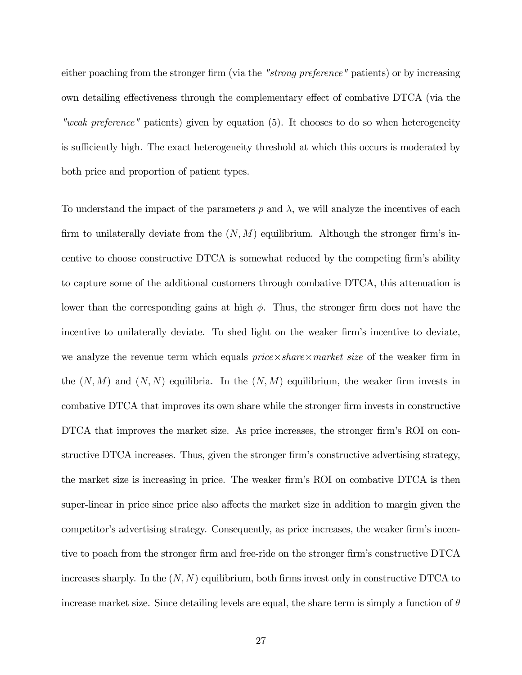either poaching from the stronger firm (via the "strong preference" patients) or by increasing own detailing effectiveness through the complementary effect of combative DTCA (via the "weak preference" patients) given by equation (5). It chooses to do so when heterogeneity is sufficiently high. The exact heterogeneity threshold at which this occurs is moderated by both price and proportion of patient types.

To understand the impact of the parameters  $p$  and  $\lambda$ , we will analyze the incentives of each firm to unilaterally deviate from the  $(N, M)$  equilibrium. Although the stronger firm's incentive to choose constructive DTCA is somewhat reduced by the competing firm's ability to capture some of the additional customers through combative DTCA, this attenuation is lower than the corresponding gains at high  $\phi$ . Thus, the stronger firm does not have the incentive to unilaterally deviate. To shed light on the weaker firm's incentive to deviate, we analyze the revenue term which equals  $price \times share \times market \ size$  of the weaker firm in the  $(N, M)$  and  $(N, N)$  equilibria. In the  $(N, M)$  equilibrium, the weaker firm invests in combative DTCA that improves its own share while the stronger firm invests in constructive DTCA that improves the market size. As price increases, the stronger firm's ROI on constructive DTCA increases. Thus, given the stronger firm's constructive advertising strategy, the market size is increasing in price. The weaker firm's ROI on combative DTCA is then super-linear in price since price also affects the market size in addition to margin given the competitor's advertising strategy. Consequently, as price increases, the weaker firm's incentive to poach from the stronger firm and free-ride on the stronger firm's constructive DTCA increases sharply. In the  $(N, N)$  equilibrium, both firms invest only in constructive DTCA to increase market size. Since detailing levels are equal, the share term is simply a function of  $\theta$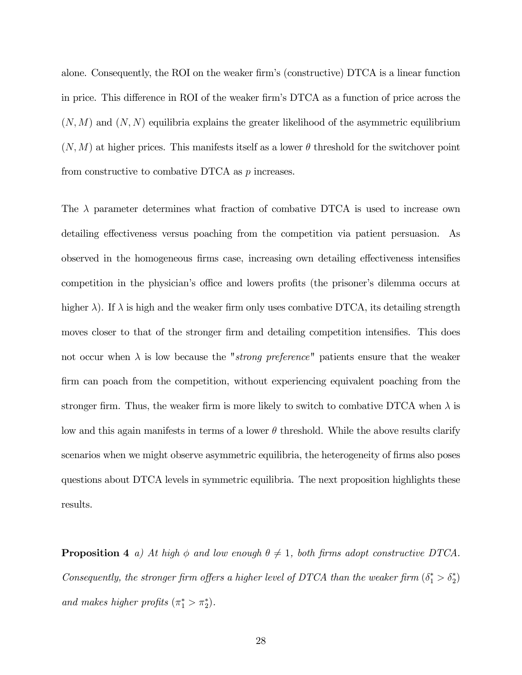alone. Consequently, the ROI on the weaker firm's (constructive) DTCA is a linear function in price. This difference in ROI of the weaker firm's DTCA as a function of price across the  $(N, M)$  and  $(N, N)$  equilibria explains the greater likelihood of the asymmetric equilibrium  $(N,M)$  at higher prices. This manifests itself as a lower  $\theta$  threshold for the switchover point from constructive to combative DTCA as p increases.

The  $\lambda$  parameter determines what fraction of combative DTCA is used to increase own detailing effectiveness versus poaching from the competition via patient persuasion. As observed in the homogeneous firms case, increasing own detailing effectiveness intensifies competition in the physician's office and lowers profits (the prisoner's dilemma occurs at higher  $\lambda$ ). If  $\lambda$  is high and the weaker firm only uses combative DTCA, its detailing strength moves closer to that of the stronger firm and detailing competition intensifies. This does not occur when  $\lambda$  is low because the "*strong preference*" patients ensure that the weaker firm can poach from the competition, without experiencing equivalent poaching from the stronger firm. Thus, the weaker firm is more likely to switch to combative DTCA when  $\lambda$  is low and this again manifests in terms of a lower  $\theta$  threshold. While the above results clarify scenarios when we might observe asymmetric equilibria, the heterogeneity of firms also poses questions about DTCA levels in symmetric equilibria. The next proposition highlights these results.

**Proposition 4** a) At high  $\phi$  and low enough  $\theta \neq 1$ , both firms adopt constructive DTCA. Consequently, the stronger firm offers a higher level of DTCA than the weaker firm  $(\delta_1^* > \delta_2^*)$ and makes higher profits  $(\pi_1^* > \pi_2^*)$ .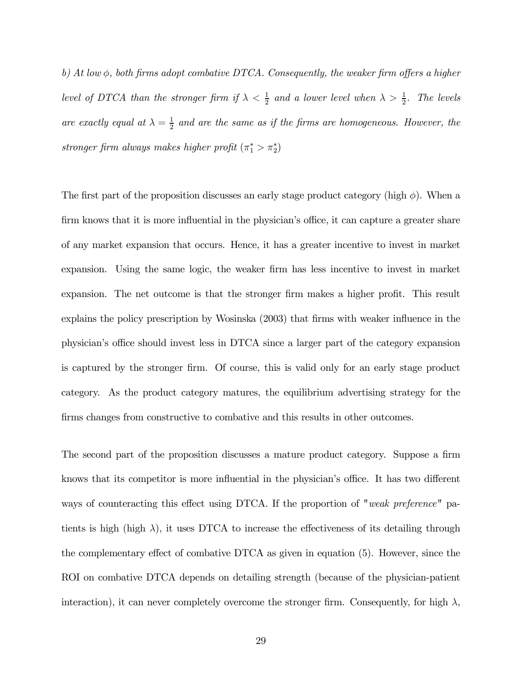b) At low  $\phi$ , both firms adopt combative DTCA. Consequently, the weaker firm offers a higher level of DTCA than the stronger firm if  $\lambda < \frac{1}{2}$  and a lower level when  $\lambda > \frac{1}{2}$ . The levels are exactly equal at  $\lambda = \frac{1}{2}$  and are the same as if the firms are homogeneous. However, the stronger firm always makes higher profit  $(\pi_1^* > \pi_2^*)$ 

The first part of the proposition discusses an early stage product category (high  $\phi$ ). When a firm knows that it is more influential in the physician's office, it can capture a greater share of any market expansion that occurs. Hence, it has a greater incentive to invest in market expansion. Using the same logic, the weaker firm has less incentive to invest in market expansion. The net outcome is that the stronger firm makes a higher profit. This result explains the policy prescription by Wosinska (2003) that firms with weaker influence in the physician's office should invest less in DTCA since a larger part of the category expansion is captured by the stronger firm. Of course, this is valid only for an early stage product category. As the product category matures, the equilibrium advertising strategy for the firms changes from constructive to combative and this results in other outcomes.

The second part of the proposition discusses a mature product category. Suppose a firm knows that its competitor is more influential in the physician's office. It has two different ways of counteracting this effect using DTCA. If the proportion of "weak preference" patients is high (high  $\lambda$ ), it uses DTCA to increase the effectiveness of its detailing through the complementary effect of combative DTCA as given in equation (5). However, since the ROI on combative DTCA depends on detailing strength (because of the physician-patient interaction), it can never completely overcome the stronger firm. Consequently, for high  $\lambda$ ,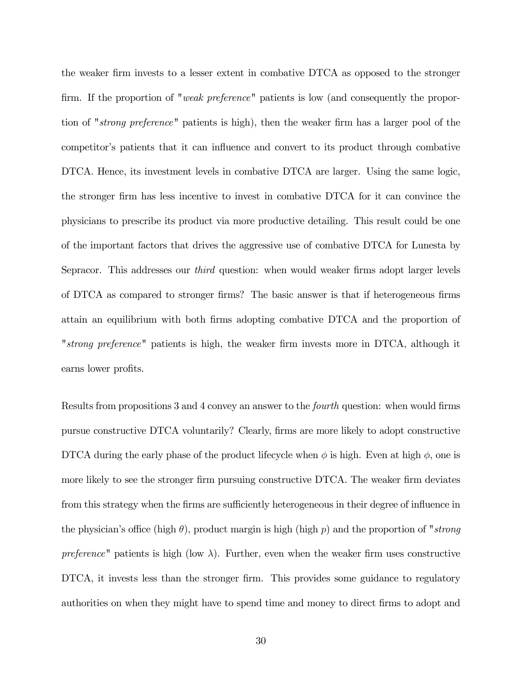the weaker firm invests to a lesser extent in combative DTCA as opposed to the stronger firm. If the proportion of "weak preference" patients is low (and consequently the proportion of "strong preference" patients is high), then the weaker firm has a larger pool of the competitor's patients that it can influence and convert to its product through combative DTCA. Hence, its investment levels in combative DTCA are larger. Using the same logic, the stronger firm has less incentive to invest in combative DTCA for it can convince the physicians to prescribe its product via more productive detailing. This result could be one of the important factors that drives the aggressive use of combative DTCA for Lunesta by Sepracor. This addresses our *third* question: when would weaker firms adopt larger levels of DTCA as compared to stronger firms? The basic answer is that if heterogeneous firms attain an equilibrium with both firms adopting combative DTCA and the proportion of "strong preference" patients is high, the weaker firm invests more in DTCA, although it earns lower profits.

Results from propositions 3 and 4 convey an answer to the fourth question: when would firms pursue constructive DTCA voluntarily? Clearly, firms are more likely to adopt constructive DTCA during the early phase of the product lifecycle when  $\phi$  is high. Even at high  $\phi$ , one is more likely to see the stronger firm pursuing constructive DTCA. The weaker firm deviates from this strategy when the firms are sufficiently heterogeneous in their degree of influence in the physician's office (high  $\theta$ ), product margin is high (high p) and the proportion of "strong preference" patients is high (low  $\lambda$ ). Further, even when the weaker firm uses constructive DTCA, it invests less than the stronger firm. This provides some guidance to regulatory authorities on when they might have to spend time and money to direct firms to adopt and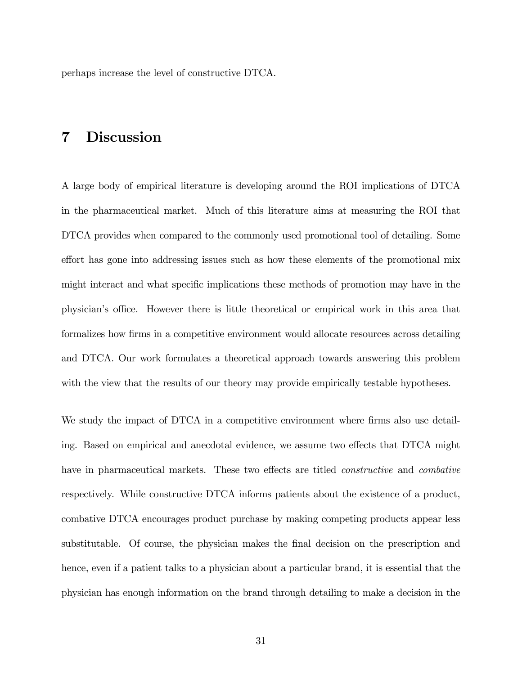perhaps increase the level of constructive DTCA.

## 7 Discussion

A large body of empirical literature is developing around the ROI implications of DTCA in the pharmaceutical market. Much of this literature aims at measuring the ROI that DTCA provides when compared to the commonly used promotional tool of detailing. Some effort has gone into addressing issues such as how these elements of the promotional mix might interact and what specific implications these methods of promotion may have in the physician's office. However there is little theoretical or empirical work in this area that formalizes how firms in a competitive environment would allocate resources across detailing and DTCA. Our work formulates a theoretical approach towards answering this problem with the view that the results of our theory may provide empirically testable hypotheses.

We study the impact of DTCA in a competitive environment where firms also use detailing. Based on empirical and anecdotal evidence, we assume two effects that DTCA might have in pharmaceutical markets. These two effects are titled *constructive* and *combative* respectively. While constructive DTCA informs patients about the existence of a product, combative DTCA encourages product purchase by making competing products appear less substitutable. Of course, the physician makes the final decision on the prescription and hence, even if a patient talks to a physician about a particular brand, it is essential that the physician has enough information on the brand through detailing to make a decision in the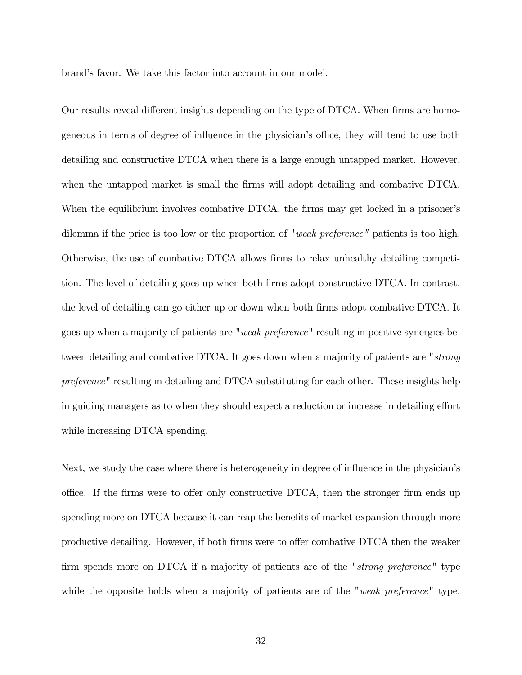brand's favor. We take this factor into account in our model.

Our results reveal different insights depending on the type of DTCA. When firms are homogeneous in terms of degree of influence in the physician's office, they will tend to use both detailing and constructive DTCA when there is a large enough untapped market. However, when the untapped market is small the firms will adopt detailing and combative DTCA. When the equilibrium involves combative DTCA, the firms may get locked in a prisoner's dilemma if the price is too low or the proportion of "weak preference" patients is too high. Otherwise, the use of combative DTCA allows firms to relax unhealthy detailing competition. The level of detailing goes up when both firms adopt constructive DTCA. In contrast, the level of detailing can go either up or down when both firms adopt combative DTCA. It goes up when a majority of patients are "weak preference" resulting in positive synergies between detailing and combative DTCA. It goes down when a majority of patients are "strong preference" resulting in detailing and DTCA substituting for each other. These insights help in guiding managers as to when they should expect a reduction or increase in detailing effort while increasing DTCA spending.

Next, we study the case where there is heterogeneity in degree of influence in the physician's office. If the firms were to offer only constructive DTCA, then the stronger firm ends up spending more on DTCA because it can reap the benefits of market expansion through more productive detailing. However, if both firms were to offer combative DTCA then the weaker firm spends more on DTCA if a majority of patients are of the "strong preference" type while the opposite holds when a majority of patients are of the "weak preference" type.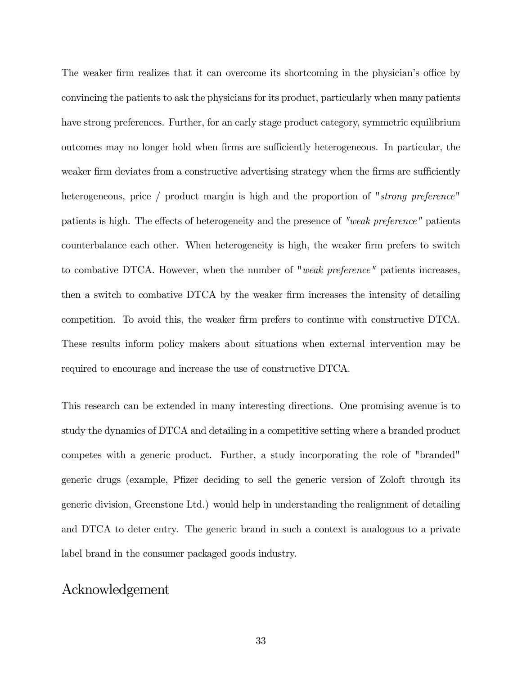The weaker firm realizes that it can overcome its shortcoming in the physician's office by convincing the patients to ask the physicians for its product, particularly when many patients have strong preferences. Further, for an early stage product category, symmetric equilibrium outcomes may no longer hold when firms are sufficiently heterogeneous. In particular, the weaker firm deviates from a constructive advertising strategy when the firms are sufficiently heterogeneous, price / product margin is high and the proportion of "strong preference" patients is high. The effects of heterogeneity and the presence of "weak preference" patients counterbalance each other. When heterogeneity is high, the weaker firm prefers to switch to combative DTCA. However, when the number of "weak preference" patients increases, then a switch to combative DTCA by the weaker firm increases the intensity of detailing competition. To avoid this, the weaker firm prefers to continue with constructive DTCA. These results inform policy makers about situations when external intervention may be required to encourage and increase the use of constructive DTCA.

This research can be extended in many interesting directions. One promising avenue is to study the dynamics of DTCA and detailing in a competitive setting where a branded product competes with a generic product. Further, a study incorporating the role of "branded" generic drugs (example, Pfizer deciding to sell the generic version of Zoloft through its generic division, Greenstone Ltd.) would help in understanding the realignment of detailing and DTCA to deter entry. The generic brand in such a context is analogous to a private label brand in the consumer packaged goods industry.

#### Acknowledgement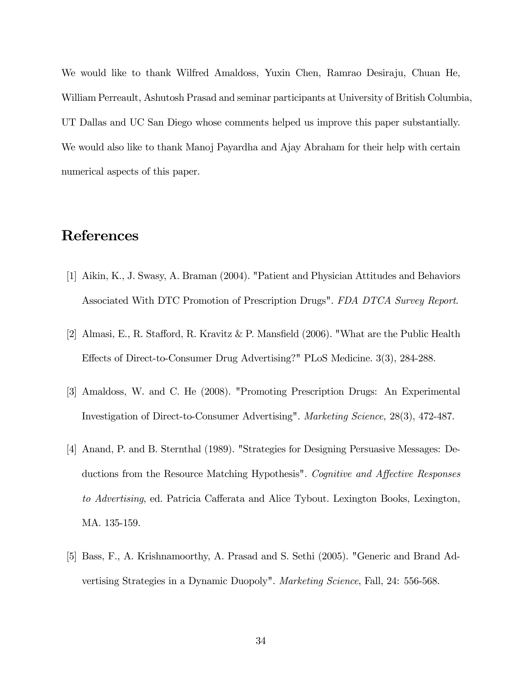We would like to thank Wilfred Amaldoss, Yuxin Chen, Ramrao Desiraju, Chuan He, William Perreault, Ashutosh Prasad and seminar participants at University of British Columbia, UT Dallas and UC San Diego whose comments helped us improve this paper substantially. We would also like to thank Manoj Payardha and Ajay Abraham for their help with certain numerical aspects of this paper.

## References

- [1] Aikin, K., J. Swasy, A. Braman (2004). "Patient and Physician Attitudes and Behaviors Associated With DTC Promotion of Prescription Drugs". FDA DTCA Survey Report.
- [2] Almasi, E., R. Stafford, R. Kravitz & P. Mansfield (2006). "What are the Public Health Effects of Direct-to-Consumer Drug Advertising?" PLoS Medicine. 3(3), 284-288.
- [3] Amaldoss, W. and C. He (2008). "Promoting Prescription Drugs: An Experimental Investigation of Direct-to-Consumer Advertising". Marketing Science, 28(3), 472-487.
- [4] Anand, P. and B. Sternthal (1989). "Strategies for Designing Persuasive Messages: Deductions from the Resource Matching Hypothesis". Cognitive and Affective Responses to Advertising, ed. Patricia Cafferata and Alice Tybout. Lexington Books, Lexington, MA. 135-159.
- [5] Bass, F., A. Krishnamoorthy, A. Prasad and S. Sethi (2005). "Generic and Brand Advertising Strategies in a Dynamic Duopoly". Marketing Science, Fall, 24: 556-568.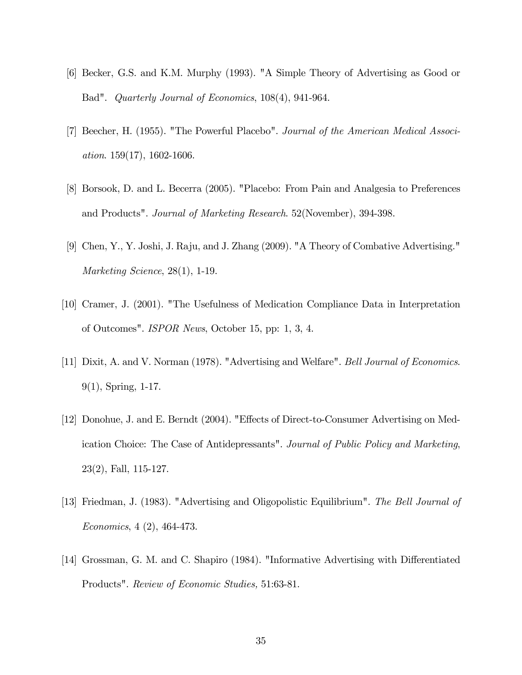- [6] Becker, G.S. and K.M. Murphy (1993). "A Simple Theory of Advertising as Good or Bad". Quarterly Journal of Economics, 108(4), 941-964.
- [7] Beecher, H. (1955). "The Powerful Placebo". Journal of the American Medical Association. 159(17), 1602-1606.
- [8] Borsook, D. and L. Becerra (2005). "Placebo: From Pain and Analgesia to Preferences and Products". Journal of Marketing Research. 52(November), 394-398.
- [9] Chen, Y., Y. Joshi, J. Raju, and J. Zhang (2009). "A Theory of Combative Advertising." Marketing Science, 28(1), 1-19.
- [10] Cramer, J. (2001). "The Usefulness of Medication Compliance Data in Interpretation of Outcomes". ISPOR News, October 15, pp: 1, 3, 4.
- [11] Dixit, A. and V. Norman (1978). "Advertising and Welfare". Bell Journal of Economics. 9(1), Spring, 1-17.
- [12] Donohue, J. and E. Berndt (2004). "Effects of Direct-to-Consumer Advertising on Medication Choice: The Case of Antidepressants". Journal of Public Policy and Marketing, 23(2), Fall, 115-127.
- [13] Friedman, J. (1983). "Advertising and Oligopolistic Equilibrium". The Bell Journal of Economics, 4 (2), 464-473.
- [14] Grossman, G. M. and C. Shapiro (1984). "Informative Advertising with Differentiated Products". Review of Economic Studies, 51:63-81.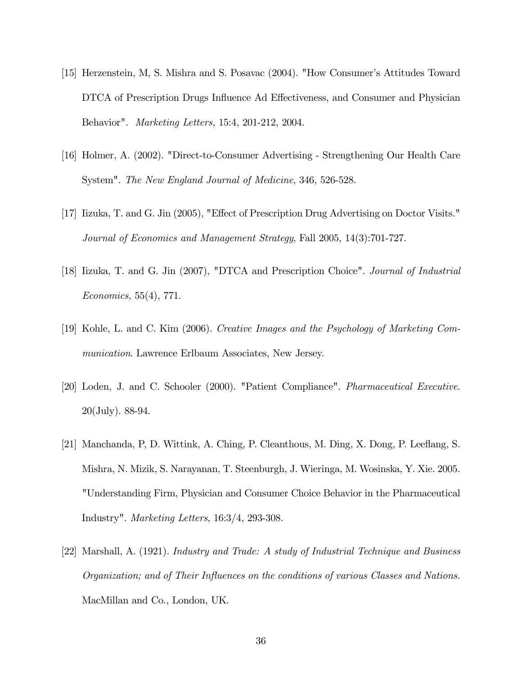- [15] Herzenstein, M, S. Mishra and S. Posavac (2004). "How Consumer's Attitudes Toward DTCA of Prescription Drugs Influence Ad Effectiveness, and Consumer and Physician Behavior". Marketing Letters, 15:4, 201-212, 2004.
- [16] Holmer, A. (2002). "Direct-to-Consumer Advertising Strengthening Our Health Care System". The New England Journal of Medicine, 346, 526-528.
- [17] Iizuka, T. and G. Jin (2005), "Effect of Prescription Drug Advertising on Doctor Visits." Journal of Economics and Management Strategy, Fall 2005, 14(3):701-727.
- [18] Iizuka, T. and G. Jin (2007), "DTCA and Prescription Choice". Journal of Industrial Economics, 55(4), 771.
- [19] Kohle, L. and C. Kim (2006). Creative Images and the Psychology of Marketing Communication. Lawrence Erlbaum Associates, New Jersey.
- [20] Loden, J. and C. Schooler (2000). "Patient Compliance". Pharmaceutical Executive. 20(July). 88-94.
- [21] Manchanda, P, D. Wittink, A. Ching, P. Cleanthous, M. Ding, X. Dong, P. Leeflang, S. Mishra, N. Mizik, S. Narayanan, T. Steenburgh, J. Wieringa, M. Wosinska, Y. Xie. 2005. "Understanding Firm, Physician and Consumer Choice Behavior in the Pharmaceutical Industry". Marketing Letters, 16:3/4, 293-308.
- [22] Marshall, A. (1921). Industry and Trade: A study of Industrial Technique and Business Organization; and of Their Influences on the conditions of various Classes and Nations. MacMillan and Co., London, UK.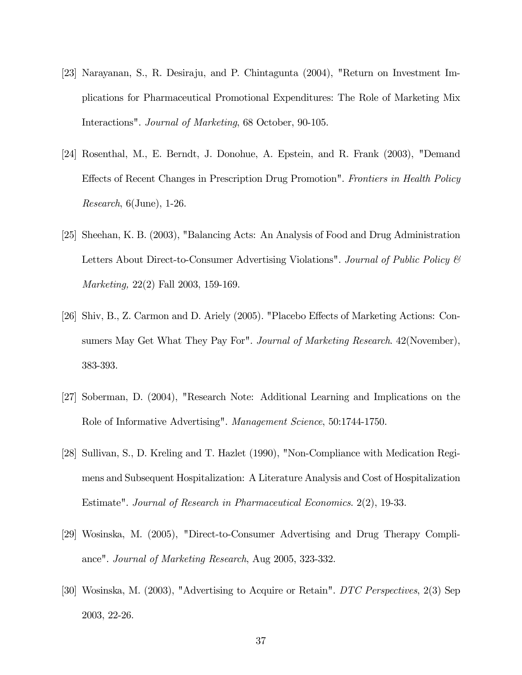- [23] Narayanan, S., R. Desiraju, and P. Chintagunta (2004), "Return on Investment Implications for Pharmaceutical Promotional Expenditures: The Role of Marketing Mix Interactions". Journal of Marketing, 68 October, 90-105.
- [24] Rosenthal, M., E. Berndt, J. Donohue, A. Epstein, and R. Frank (2003), "Demand Effects of Recent Changes in Prescription Drug Promotion". Frontiers in Health Policy Research, 6(June), 1-26.
- [25] Sheehan, K. B. (2003), "Balancing Acts: An Analysis of Food and Drug Administration Letters About Direct-to-Consumer Advertising Violations". Journal of Public Policy & Marketing, 22(2) Fall 2003, 159-169.
- [26] Shiv, B., Z. Carmon and D. Ariely (2005). "Placebo Effects of Marketing Actions: Consumers May Get What They Pay For". Journal of Marketing Research. 42 (November), 383-393.
- [27] Soberman, D. (2004), "Research Note: Additional Learning and Implications on the Role of Informative Advertising". Management Science, 50:1744-1750.
- [28] Sullivan, S., D. Kreling and T. Hazlet (1990), "Non-Compliance with Medication Regimens and Subsequent Hospitalization: A Literature Analysis and Cost of Hospitalization Estimate". Journal of Research in Pharmaceutical Economics. 2(2), 19-33.
- [29] Wosinska, M. (2005), "Direct-to-Consumer Advertising and Drug Therapy Compliance". Journal of Marketing Research, Aug 2005, 323-332.
- [30] Wosinska, M. (2003), "Advertising to Acquire or Retain". DTC Perspectives, 2(3) Sep 2003, 22-26.